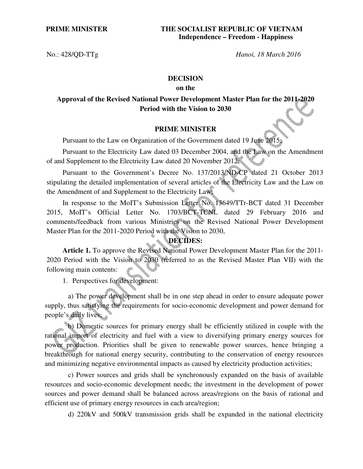No.: 428/QD-TTg *Hanoi, 18 March 2016* 

## **DECISION**

### **on the**

# **Approval of the Revised National Power Development Master Plan for the 2011-2020 Period with the Vision to 2030**

### **PRIME MINISTER**

Pursuant to the Law on Organization of the Government dated 19 June 2015;

Pursuant to the Electricity Law dated 03 December 2004, and the Law on the Amendment of and Supplement to the Electricity Law dated 20 November 2012;

Pursuant to the Government's Decree No. 137/2013/ND-CP dated 21 October 2013 stipulating the detailed implementation of several articles of the Electricity Law and the Law on the Amendment of and Supplement to the Electricity Law;

In response to the MoIT's Submission Letter No. 13649/TTr-BCT dated 31 December 2015, MoIT's Official Letter No. 1703/BCT-TCNL dated 29 February 2016 and comments/feedback from various Ministries on the Revised National Power Development Master Plan for the 2011-2020 Period with the Vision to 2030,

# **DECIDES:**

**Article 1.** To approve the Revised National Power Development Master Plan for the 2011- 2020 Period with the Vision to 2030 (referred to as the Revised Master Plan VII) with the following main contents:

1. Perspectives for development:

 a) The power development shall be in one step ahead in order to ensure adequate power supply, thus satisfying the requirements for socio-economic development and power demand for people's daily lives;

 b) Domestic sources for primary energy shall be efficiently utilized in couple with the rational import of electricity and fuel with a view to diversifying primary energy sources for power production. Priorities shall be given to renewable power sources, hence bringing a breakthrough for national energy security, contributing to the conservation of energy resources and minimizing negative environmental impacts as caused by electricity production activities;

 c) Power sources and grids shall be synchronously expanded on the basis of available resources and socio-economic development needs; the investment in the development of power sources and power demand shall be balanced across areas/regions on the basis of rational and efficient use of primary energy resources in each area/region;

d) 220kV and 500kV transmission grids shall be expanded in the national electricity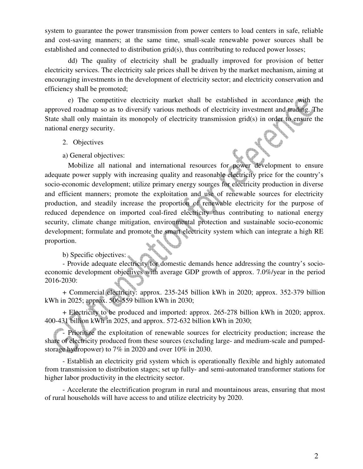system to guarantee the power transmission from power centers to load centers in safe, reliable and cost-saving manners; at the same time, small-scale renewable power sources shall be established and connected to distribution grid(s), thus contributing to reduced power losses;

 dd) The quality of electricity shall be gradually improved for provision of better electricity services. The electricity sale prices shall be driven by the market mechanism, aiming at encouraging investments in the development of electricity sector; and electricity conservation and efficiency shall be promoted;

 e) The competitive electricity market shall be established in accordance with the approved roadmap so as to diversify various methods of electricity investment and trading. The State shall only maintain its monopoly of electricity transmission grid(s) in order to ensure the national energy security.

- 2. Objectives
- a) General objectives:

 Mobilize all national and international resources for power development to ensure adequate power supply with increasing quality and reasonable electricity price for the country's socio-economic development; utilize primary energy sources for electricity production in diverse and efficient manners; promote the exploitation and use of renewable sources for electricity production, and steadily increase the proportion of renewable electricity for the purpose of reduced dependence on imported coal-fired electricity thus contributing to national energy security, climate change mitigation, environmental protection and sustainable socio-economic development; formulate and promote the smart electricity system which can integrate a high RE proportion.

# b) Specific objectives:

- Provide adequate electricity for domestic demands hence addressing the country's socioeconomic development objectives with average GDP growth of approx. 7.0%/year in the period 2016-2030:

+ Commercial electricity: approx. 235-245 billion kWh in 2020; approx. 352-379 billion kWh in 2025; approx. 506-559 billion kWh in 2030;

+ Electricity to be produced and imported: approx. 265-278 billion kWh in 2020; approx. 400-431 billion kWh in 2025, and approx. 572-632 billion kWh in 2030;

- Prioritize the exploitation of renewable sources for electricity production; increase the share of electricity produced from these sources (excluding large- and medium-scale and pumpedstorage hydropower) to 7% in 2020 and over 10% in 2030.

- Establish an electricity grid system which is operationally flexible and highly automated from transmission to distribution stages; set up fully- and semi-automated transformer stations for higher labor productivity in the electricity sector.

- Accelerate the electrification program in rural and mountainous areas, ensuring that most of rural households will have access to and utilize electricity by 2020.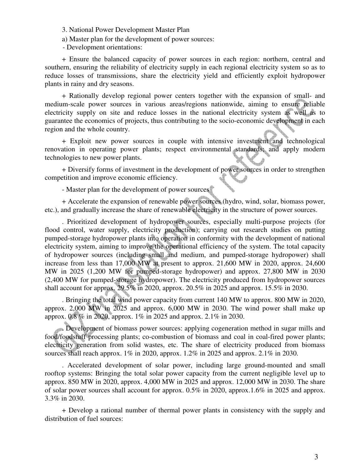3. National Power Development Master Plan

a) Master plan for the development of power sources:

- Development orientations:

+ Ensure the balanced capacity of power sources in each region: northern, central and southern, ensuring the reliability of electricity supply in each regional electricity system so as to reduce losses of transmissions, share the electricity yield and efficiently exploit hydropower plants in rainy and dry seasons.

+ Rationally develop regional power centers together with the expansion of small- and medium-scale power sources in various areas/regions nationwide, aiming to ensure reliable electricity supply on site and reduce losses in the national electricity system as well as to guarantee the economics of projects, thus contributing to the socio-economic development in each region and the whole country.

+ Exploit new power sources in couple with intensive investment and technological renovation in operating power plants; respect environmental standards; and apply modern technologies to new power plants.

+ Diversify forms of investment in the development of power sources in order to strengthen competition and improve economic efficiency.

- Master plan for the development of power sources

+ Accelerate the expansion of renewable power sources (hydro, wind, solar, biomass power, etc.), and gradually increase the share of renewable electricity in the structure of power sources.

. Prioritized development of hydropower sources, especially multi-purpose projects (for flood control, water supply, electricity production); carrying out research studies on putting pumped-storage hydropower plants into operation in conformity with the development of national electricity system, aiming to improve the operational efficiency of the system. The total capacity of hydropower sources (including small and medium, and pumped-storage hydropower) shall increase from less than 17,000 MW at present to approx. 21,600 MW in 2020, approx. 24,600 MW in 2025 (1,200 MW for pumped-storage hydropower) and approx. 27,800 MW in 2030 (2,400 MW for pumped-storage hydropower). The electricity produced from hydropower sources shall account for approx. 29.5% in 2020, approx. 20.5% in 2025 and approx. 15.5% in 2030.

. Bringing the total wind power capacity from current 140 MW to approx. 800 MW in 2020, approx. 2,000 MW in 2025 and approx. 6,000 MW in 2030. The wind power shall make up approx. 0.8 % in 2020, approx. 1% in 2025 and approx. 2.1% in 2030.

. Development of biomass power sources: applying cogeneration method in sugar mills and food/foodstuff processing plants; co-combustion of biomass and coal in coal-fired power plants; electricity generation from solid wastes, etc. The share of electricity produced from biomass sources shall reach approx.  $1\%$  in 2020, approx.  $1.2\%$  in 2025 and approx.  $2.1\%$  in 2030.

. Accelerated development of solar power, including large ground-mounted and small rooftop systems: Bringing the total solar power capacity from the current negligible level up to approx. 850 MW in 2020, approx. 4,000 MW in 2025 and approx. 12,000 MW in 2030. The share of solar power sources shall account for approx. 0.5% in 2020, approx.1.6% in 2025 and approx. 3.3% in 2030.

+ Develop a rational number of thermal power plants in consistency with the supply and distribution of fuel sources: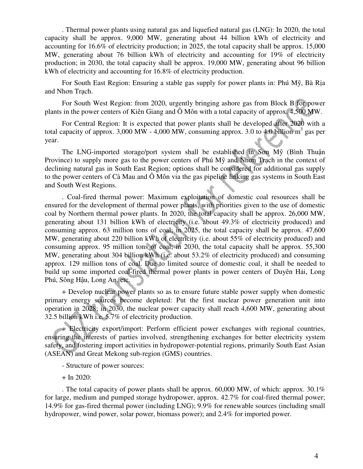. Thermal power plants using natural gas and liquefied natural gas (LNG): In 2020, the total capacity shall be approx. 9,000 MW, generating about 44 billion kWh of electricity and accounting for 16.6% of electricity production; in 2025, the total capacity shall be approx. 15,000 MW, generating about 76 billion kWh of electricity and accounting for 19% of electricity production; in 2030, the total capacity shall be approx. 19,000 MW, generating about 96 billion kWh of electricity and accounting for 16.8% of electricity production.

For South East Region: Ensuring a stable gas supply for power plants in: Phú Mỹ, Bà Rịa and Nhơn Trạch.

For South West Region: from 2020, urgently bringing ashore gas from Block B for power plants in the power centers of Kiên Giang and Ô Môn with a total capacity of approx. 4,500 MW.

For Central Region: It is expected that power plants shall be developed after 2020 with a total capacity of approx. 3,000 MW - 4,000 MW, consuming approx. 3.0 to 4.0 billion  $m^3$  gas per year.

The LNG-imported storage/port system shall be established in Sơn Mỹ (Bình Thuận Province) to supply more gas to the power centers of Phú Mỹ and Nhơn Trạch in the context of declining natural gas in South East Region; options shall be considered for additional gas supply to the power centers of Cà Mau and Ô Môn via the gas pipeline linking gas systems in South East and South West Regions.

. Coal-fired thermal power: Maximum exploitation of domestic coal resources shall be ensured for the development of thermal power plants, with priorities given to the use of domestic coal by Northern thermal power plants. In 2020, the total capacity shall be approx. 26,000 MW, generating about 131 billion kWh of electricity (i.e. about 49.3% of electricity produced) and consuming approx. 63 million tons of coal; in 2025, the total capacity shall be approx. 47,600 MW, generating about 220 billion kWh of electricity (i.e. about 55% of electricity produced) and consuming approx. 95 million tons of coal; in 2030, the total capacity shall be approx. 55,300 MW, generating about 304 billion kWh (i.e. about 53.2% of electricity produced) and consuming approx. 129 million tons of coal. Due to limited source of domestic coal, it shall be needed to build up some imported coal-fired thermal power plants in power centers of Duyên Hải, Long Phú, Sông Hậu, Long An, etc.

+ Develop nuclear power plants so as to ensure future stable power supply when domestic primary energy sources become depleted: Put the first nuclear power generation unit into operation in 2028; in 2030, the nuclear power capacity shall reach 4,600 MW, generating about 32.5 billion kWh i.e. 5.7% of electricity production.

+ Electricity export/import: Perform efficient power exchanges with regional countries, ensuring the interests of parties involved, strengthening exchanges for better electricity system safety, and fostering import activities in hydropower-potential regions, primarily South East Asian (ASEAN) and Great Mekong sub-region (GMS) countries.

- Structure of power sources:
- + In 2020:

. The total capacity of power plants shall be approx. 60,000 MW, of which: approx. 30.1% for large, medium and pumped storage hydropower, approx. 42.7% for coal-fired thermal power; 14.9% for gas-fired thermal power (including LNG); 9.9% for renewable sources (including small hydropower, wind power, solar power, biomass power); and 2.4% for imported power.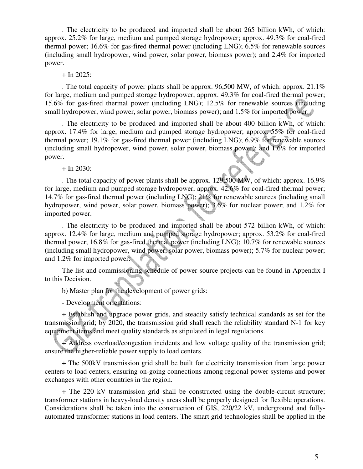. The electricity to be produced and imported shall be about 265 billion kWh, of which: approx. 25.2% for large, medium and pumped storage hydropower; approx. 49.3% for coal-fired thermal power; 16.6% for gas-fired thermal power (including LNG); 6.5% for renewable sources (including small hydropower, wind power, solar power, biomass power); and 2.4% for imported power.

### $+$  In 2025:

. The total capacity of power plants shall be approx. 96,500 MW, of which: approx. 21.1% for large, medium and pumped storage hydropower, approx. 49.3% for coal-fired thermal power; 15.6% for gas-fired thermal power (including LNG); 12.5% for renewable sources (including small hydropower, wind power, solar power, biomass power); and 1.5% for imported power.

. The electricity to be produced and imported shall be about 400 billion kWh, of which: approx. 17.4% for large, medium and pumped storage hydropower; approx. 55% for coal-fired thermal power; 19.1% for gas-fired thermal power (including LNG); 6.9% for renewable sources (including small hydropower, wind power, solar power, biomass power); and 1.6% for imported power.

 $+$  In 2030:

. The total capacity of power plants shall be approx.  $129,500$  MW, of which: approx.  $16.9\%$ for large, medium and pumped storage hydropower, approx. 42.6% for coal-fired thermal power; 14.7% for gas-fired thermal power (including LNG); 21% for renewable sources (including small hydropower, wind power, solar power, biomass power); 3.6% for nuclear power; and 1.2% for imported power.

. The electricity to be produced and imported shall be about 572 billion kWh, of which: approx. 12.4% for large, medium and pumped storage hydropower; approx. 53.2% for coal-fired thermal power; 16.8% for gas-fired thermal power (including LNG); 10.7% for renewable sources (including small hydropower, wind power, solar power, biomass power); 5.7% for nuclear power; and 1.2% for imported power.

The list and commissioning schedule of power source projects can be found in Appendix I to this Decision.

b) Master plan for the development of power grids:

- Development orientations:

+ Establish and upgrade power grids, and steadily satisfy technical standards as set for the transmission grid; by 2020, the transmission grid shall reach the reliability standard N-1 for key equipment items and meet quality standards as stipulated in legal regulations.

+ Address overload/congestion incidents and low voltage quality of the transmission grid; ensure the higher-reliable power supply to load centers.

+ The 500kV transmission grid shall be built for electricity transmission from large power centers to load centers, ensuring on-going connections among regional power systems and power exchanges with other countries in the region.

+ The 220 kV transmission grid shall be constructed using the double-circuit structure; transformer stations in heavy-load density areas shall be properly designed for flexible operations. Considerations shall be taken into the construction of GIS, 220/22 kV, underground and fullyautomated transformer stations in load centers. The smart grid technologies shall be applied in the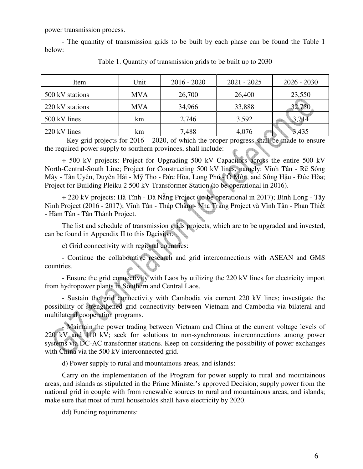power transmission process.

- The quantity of transmission grids to be built by each phase can be found the Table 1 below:

| Item            | Unit       | $2016 - 2020$ | $2021 - 2025$ | $2026 - 2030$ |
|-----------------|------------|---------------|---------------|---------------|
| 500 kV stations | <b>MVA</b> | 26,700        | 26,400        | 23,550        |
| 220 kV stations | <b>MVA</b> | 34,966        | 33,888        | 32,750        |
| 500 kV lines    | km         | 2,746         | 3,592         | 3,714         |
| 220 kV lines    | km         | 7,488         | 4,076         | 3,435         |

Table 1. Quantity of transmission grids to be built up to 2030

- Key grid projects for 2016 – 2020, of which the proper progress shall be made to ensure the required power supply to southern provinces, shall include:

+ 500 kV projects: Project for Upgrading 500 kV Capacitors across the entire 500 kV North-Central-South Line; Project for Constructing 500 kV lines, namely: Vĩnh Tân - Rẽ Sông Mây - Tân Uyên, Duyên Hải - Mỹ Tho - Đức Hòa, Long Phú - Ô Môn, and Sông Hậu - Đức Hòa; Project for Building Pleiku 2 500 kV Transformer Station (to be operational in 2016).

+ 220 kV projects: Hà Tĩnh - Đà Nẵng Project (to be operational in 2017); Bình Long - Tây Ninh Project (2016 - 2017); Vĩnh Tân - Tháp Chàm - Nha Trang Project và Vĩnh Tân - Phan Thiết - Hàm Tân - Tân Thành Project.

The list and schedule of transmission grids projects, which are to be upgraded and invested, can be found in Appendix II to this Decision.

c) Grid connectivity with regional countries:

- Continue the collaborative research and grid interconnections with ASEAN and GMS countries.

- Ensure the grid connectivity with Laos by utilizing the 220 kV lines for electricity import from hydropower plants in Southern and Central Laos.

- Sustain the grid connectivity with Cambodia via current 220 kV lines; investigate the possibility of strengthened grid connectivity between Vietnam and Cambodia via bilateral and multilateral cooperation programs.

- Maintain the power trading between Vietnam and China at the current voltage levels of 220 kV and 110 kV; seek for solutions to non-synchronous interconnections among power systems via DC-AC transformer stations. Keep on considering the possibility of power exchanges with China via the 500 kV interconnected grid.

d) Power supply to rural and mountainous areas, and islands:

Carry on the implementation of the Program for power supply to rural and mountainous areas, and islands as stipulated in the Prime Minister's approved Decision; supply power from the national grid in couple with from renewable sources to rural and mountainous areas, and islands; make sure that most of rural households shall have electricity by 2020.

dd) Funding requirements: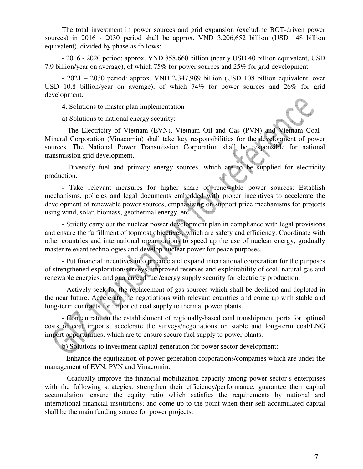The total investment in power sources and grid expansion (excluding BOT-driven power sources) in 2016 - 2030 period shall be approx. VND 3,206,652 billion (USD 148 billion equivalent), divided by phase as follows:

- 2016 - 2020 period: approx. VND 858,660 billion (nearly USD 40 billion equivalent, USD 7.9 billion/year on average), of which 75% for power sources and 25% for grid development.

- 2021 – 2030 period: approx. VND 2,347,989 billion (USD 108 billion equivalent, over USD 10.8 billion/year on average), of which 74% for power sources and 26% for grid development.

4. Solutions to master plan implementation

a) Solutions to national energy security:

- The Electricity of Vietnam (EVN), Vietnam Oil and Gas (PVN) and Vietnam Coal - Mineral Corporation (Vinacomin) shall take key responsibilities for the development of power sources. The National Power Transmission Corporation shall be responsible for national transmission grid development.

- Diversify fuel and primary energy sources, which are to be supplied for electricity production.

- Take relevant measures for higher share of renewable power sources: Establish mechanisms, policies and legal documents embedded with proper incentives to accelerate the development of renewable power sources, emphasizing on support price mechanisms for projects using wind, solar, biomass, geothermal energy, etc.

- Strictly carry out the nuclear power development plan in compliance with legal provisions and ensure the fulfillment of topmost objectives, which are safety and efficiency. Coordinate with other countries and international organizations to speed up the use of nuclear energy; gradually master relevant technologies and develop nuclear power for peace purposes.

- Put financial incentives into practice and expand international cooperation for the purposes of strengthened exploration/surveys, improved reserves and exploitability of coal, natural gas and renewable energies, and guaranteed fuel/energy supply security for electricity production.

- Actively seek for the replacement of gas sources which shall be declined and depleted in the near future. Accelerate the negotiations with relevant countries and come up with stable and long-term contracts for imported coal supply to thermal power plants.

- Concentrate on the establishment of regionally-based coal transhipment ports for optimal costs of coal imports; accelerate the surveys/negotiations on stable and long-term coal/LNG import opportunities, which are to ensure secure fuel supply to power plants.

b) Solutions to investment capital generation for power sector development:

- Enhance the equitization of power generation corporations/companies which are under the management of EVN, PVN and Vinacomin.

- Gradually improve the financial mobilization capacity among power sector's enterprises with the following strategies: strengthen their efficiency/performance; guarantee their capital accumulation; ensure the equity ratio which satisfies the requirements by national and international financial institutions; and come up to the point when their self-accumulated capital shall be the main funding source for power projects.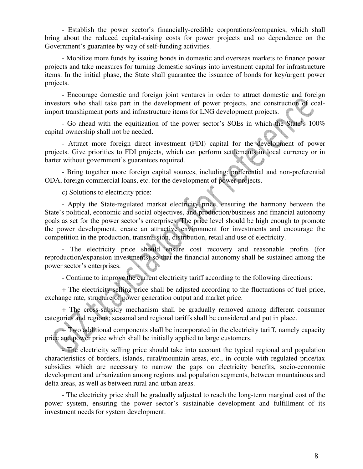- Establish the power sector's financially-credible corporations/companies, which shall bring about the reduced capital-raising costs for power projects and no dependence on the Government's guarantee by way of self-funding activities.

- Mobilize more funds by issuing bonds in domestic and overseas markets to finance power projects and take measures for turning domestic savings into investment capital for infrastructure items. In the initial phase, the State shall guarantee the issuance of bonds for key/urgent power projects.

- Encourage domestic and foreign joint ventures in order to attract domestic and foreign investors who shall take part in the development of power projects, and construction of coalimport transhipment ports and infrastructure items for LNG development projects.

- Go ahead with the equitization of the power sector's SOEs in which the State's 100% capital ownership shall not be needed.

- Attract more foreign direct investment (FDI) capital for the development of power projects. Give priorities to FDI projects, which can perform settlements in local currency or in barter without government's guarantees required.

- Bring together more foreign capital sources, including: preferential and non-preferential ODA, foreign commercial loans, etc. for the development of power projects.

c) Solutions to electricity price:

- Apply the State-regulated market electricity price, ensuring the harmony between the State's political, economic and social objectives, and production/business and financial autonomy goals as set for the power sector's enterprises. The price level should be high enough to promote the power development, create an attractive environment for investments and encourage the competition in the production, transmission, distribution, retail and use of electricity.

- The electricity price should ensure cost recovery and reasonable profits (for reproduction/expansion investments) so that the financial autonomy shall be sustained among the power sector's enterprises.

- Continue to improve the current electricity tariff according to the following directions:

+ The electricity selling price shall be adjusted according to the fluctuations of fuel price, exchange rate, structure of power generation output and market price.

+ The cross-subsidy mechanism shall be gradually removed among different consumer categories and regions; seasonal and regional tariffs shall be considered and put in place.

<sup>+</sup> Two additional components shall be incorporated in the electricity tariff, namely capacity price and power price which shall be initially applied to large customers.

- The electricity selling price should take into account the typical regional and population characteristics of borders, islands, rural/mountain areas, etc., in couple with regulated price/tax subsidies which are necessary to narrow the gaps on electricity benefits, socio-economic development and urbanization among regions and population segments, between mountainous and delta areas, as well as between rural and urban areas.

- The electricity price shall be gradually adjusted to reach the long-term marginal cost of the power system, ensuring the power sector's sustainable development and fulfillment of its investment needs for system development.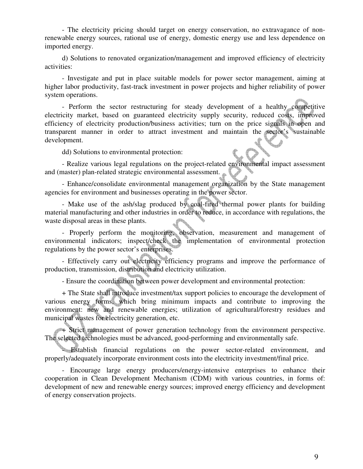- The electricity pricing should target on energy conservation, no extravagance of nonrenewable energy sources, rational use of energy, domestic energy use and less dependence on imported energy.

d) Solutions to renovated organization/management and improved efficiency of electricity activities:

- Investigate and put in place suitable models for power sector management, aiming at higher labor productivity, fast-track investment in power projects and higher reliability of power system operations.

- Perform the sector restructuring for steady development of a healthy competitive electricity market, based on guaranteed electricity supply security, reduced costs, improved efficiency of electricity production/business activities; turn on the price signals in open and transparent manner in order to attract investment and maintain the sector's sustainable development.

dd) Solutions to environmental protection:

- Realize various legal regulations on the project-related environmental impact assessment and (master) plan-related strategic environmental assessment.

- Enhance/consolidate environmental management organization by the State management agencies for environment and businesses operating in the power sector.

- Make use of the ash/slag produced by coal-fired thermal power plants for building material manufacturing and other industries in order to reduce, in accordance with regulations, the waste disposal areas in these plants.

- Properly perform the monitoring, observation, measurement and management of environmental indicators; inspect/check the implementation of environmental protection regulations by the power sector's enterprises.

- Effectively carry out electricity efficiency programs and improve the performance of production, transmission, distribution and electricity utilization.

- Ensure the coordination between power development and environmental protection:

+ The State shall introduce investment/tax support policies to encourage the development of various energy forms, which bring minimum impacts and contribute to improving the environment: new and renewable energies; utilization of agricultural/forestry residues and municipal wastes for electricity generation, etc.

+ Strict management of power generation technology from the environment perspective. The selected technologies must be advanced, good-performing and environmentally safe.

- Establish financial regulations on the power sector-related environment, and properly/adequately incorporate environment costs into the electricity investment/final price.

- Encourage large energy producers/energy-intensive enterprises to enhance their cooperation in Clean Development Mechanism (CDM) with various countries, in forms of: development of new and renewable energy sources; improved energy efficiency and development of energy conservation projects.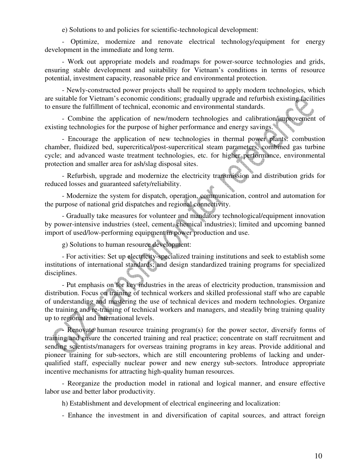e) Solutions to and policies for scientific-technological development:

- Optimize, modernize and renovate electrical technology/equipment for energy development in the immediate and long term.

- Work out appropriate models and roadmaps for power-source technologies and grids, ensuring stable development and suitability for Vietnam's conditions in terms of resource potential, investment capacity, reasonable price and environmental protection.

- Newly-constructed power projects shall be required to apply modern technologies, which are suitable for Vietnam's economic conditions; gradually upgrade and refurbish existing facilities to ensure the fulfillment of technical, economic and environmental standards.

- Combine the application of new/modern technologies and calibration/improvement of existing technologies for the purpose of higher performance and energy savings.

- Encourage the application of new technologies in thermal power plants: combustion chamber, fluidized bed, supercritical/post-supercritical steam parameters, combined gas turbine cycle; and advanced waste treatment technologies, etc. for higher performance, environmental protection and smaller area for ash/slag disposal sites.

- Refurbish, upgrade and modernize the electricity transmission and distribution grids for reduced losses and guaranteed safety/reliability.

- Modernize the system for dispatch, operation, communication, control and automation for the purpose of national grid dispatches and regional connectivity.

- Gradually take measures for volunteer and mandatory technological/equipment innovation by power-intensive industries (steel, cement, chemical industries); limited and upcoming banned import of used/low-performing equipment in power production and use.

g) Solutions to human resource development:

- For activities: Set up electricity-specialized training institutions and seek to establish some institutions of international standards; and design standardized training programs for specialized disciplines. **Total Co** 

- Put emphasis on for key industries in the areas of electricity production, transmission and distribution. Focus on training of technical workers and skilled professional staff who are capable of understanding and mastering the use of technical devices and modern technologies. Organize the training and re-training of technical workers and managers, and steadily bring training quality up to regional and international levels.

- Renovate human resource training program(s) for the power sector, diversify forms of training and ensure the concerted training and real practice; concentrate on staff recruitment and sending scientists/managers for overseas training programs in key areas. Provide additional and pioneer training for sub-sectors, which are still encountering problems of lacking and underqualified staff, especially nuclear power and new energy sub-sectors. Introduce appropriate incentive mechanisms for attracting high-quality human resources.

- Reorganize the production model in rational and logical manner, and ensure effective labor use and better labor productivity.

h) Establishment and development of electrical engineering and localization:

- Enhance the investment in and diversification of capital sources, and attract foreign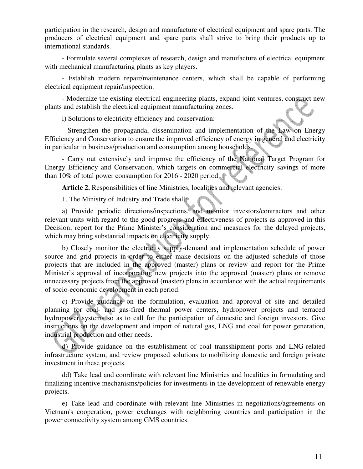participation in the research, design and manufacture of electrical equipment and spare parts. The producers of electrical equipment and spare parts shall strive to bring their products up to international standards.

- Formulate several complexes of research, design and manufacture of electrical equipment with mechanical manufacturing plants as key players.

- Establish modern repair/maintenance centers, which shall be capable of performing electrical equipment repair/inspection.

- Modernize the existing electrical engineering plants, expand joint ventures, construct new plants and establish the electrical equipment manufacturing zones.

i) Solutions to electricity efficiency and conservation:

- Strengthen the propaganda, dissemination and implementation of the Law on Energy Efficiency and Conservation to ensure the improved efficiency of energy in general and electricity in particular in business/production and consumption among households.

- Carry out extensively and improve the efficiency of the National Target Program for Energy Efficiency and Conservation, which targets on commercial electricity savings of more than 10% of total power consumption for 2016 - 2020 period.

**Article 2.** Responsibilities of line Ministries, localities and relevant agencies:

1. The Ministry of Industry and Trade shall:

1. The Ministry of Industry and Trade shall:<br>a) Provide periodic directions/inspections, and monitor investors/contractors and other relevant units with regard to the good progress and effectiveness of projects as approved in this Decision; report for the Prime Minister's consideration and measures for the delayed projects, which may bring substantial impacts on electricity supply.

b) Closely monitor the electricity supply-demand and implementation schedule of power source and grid projects in order to either make decisions on the adjusted schedule of those projects that are included in the approved (master) plans or review and report for the Prime Minister's approval of incorporating new projects into the approved (master) plans or remove unnecessary projects from the approved (master) plans in accordance with the actual requirements of socio-economic development in each period.

c) Provide guidance on the formulation, evaluation and approval of site and detailed planning for coal- and gas-fired thermal power centers, hydropower projects and terraced hydropower systems so as to call for the participation of domestic and foreign investors. Give instructions on the development and import of natural gas, LNG and coal for power generation, industrial production and other needs.

d) Provide guidance on the establishment of coal transshipment ports and LNG-related infrastructure system, and review proposed solutions to mobilizing domestic and foreign private investment in these projects.

dd) Take lead and coordinate with relevant line Ministries and localities in formulating and finalizing incentive mechanisms/policies for investments in the development of renewable energy projects.

e) Take lead and coordinate with relevant line Ministries in negotiations/agreements on Vietnam's cooperation, power exchanges with neighboring countries and participation in the power connectivity system among GMS countries.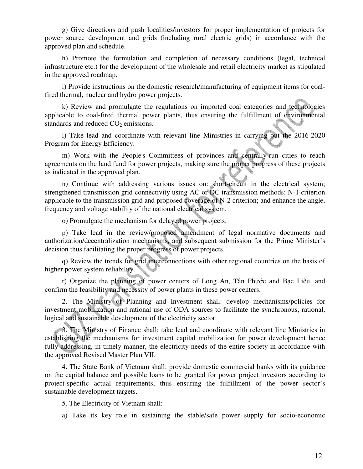g) Give directions and push localities/investors for proper implementation of projects for power source development and grids (including rural electric grids) in accordance with the approved plan and schedule.

h) Promote the formulation and completion of necessary conditions (legal, technical infrastructure etc.) for the development of the wholesale and retail electricity market as stipulated in the approved roadmap.

i) Provide instructions on the domestic research/manufacturing of equipment items for coalfired thermal, nuclear and hydro power projects.

k) Review and promulgate the regulations on imported coal categories and technologies applicable to coal-fired thermal power plants, thus ensuring the fulfillment of environmental standards and reduced  $CO<sub>2</sub>$  emissions.

l) Take lead and coordinate with relevant line Ministries in carrying out the 2016-2020 Program for Energy Efficiency.

m) Work with the People's Committees of provinces and centrally-run cities to reach agreements on the land fund for power projects, making sure the proper progress of these projects as indicated in the approved plan.

n) Continue with addressing various issues on: short-circuit in the electrical system; strengthened transmission grid connectivity using AC or DC transmission methods; N-1 criterion applicable to the transmission grid and proposed coverage of N-2 criterion; and enhance the angle, frequency and voltage stability of the national electrical system.

o) Promulgate the mechanism for delayed power projects.

p) Take lead in the review/proposed amendment of legal normative documents and authorization/decentralization mechanisms, and subsequent submission for the Prime Minister's decision thus facilitating the proper progress of power projects.

q) Review the trends for grid interconnections with other regional countries on the basis of higher power system reliability.

r) Organize the planning of power centers of Long An, Tân Phước and Bạc Liêu, and confirm the feasibility and necessity of power plants in these power centers.

2. The Ministry of Planning and Investment shall: develop mechanisms/policies for investment mobilization and rational use of ODA sources to facilitate the synchronous, rational, logical and sustainable development of the electricity sector.

3. The Ministry of Finance shall: take lead and coordinate with relevant line Ministries in establishing the mechanisms for investment capital mobilization for power development hence fully addressing, in timely manner, the electricity needs of the entire society in accordance with the approved Revised Master Plan VII.

4. The State Bank of Vietnam shall: provide domestic commercial banks with its guidance on the capital balance and possible loans to be granted for power project investors according to project-specific actual requirements, thus ensuring the fulfillment of the power sector's sustainable development targets.

5. The Electricity of Vietnam shall:

a) Take its key role in sustaining the stable/safe power supply for socio-economic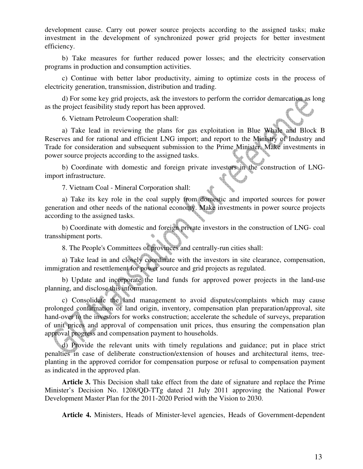development cause. Carry out power source projects according to the assigned tasks; make investment in the development of synchronized power grid projects for better investment efficiency.

b) Take measures for further reduced power losses; and the electricity conservation programs in production and consumption activities.

c) Continue with better labor productivity, aiming to optimize costs in the process of electricity generation, transmission, distribution and trading.

d) For some key grid projects, ask the investors to perform the corridor demarcation as long as the project feasibility study report has been approved.

6. Vietnam Petroleum Cooperation shall:

a) Take lead in reviewing the plans for gas exploitation in Blue Whale and Block B Reserves and for rational and efficient LNG import; and report to the Ministry of Industry and Trade for consideration and subsequent submission to the Prime Minister. Make investments in power source projects according to the assigned tasks.

b) Coordinate with domestic and foreign private investors in the construction of LNGimport infrastructure.

7. Vietnam Coal - Mineral Corporation shall:

a) Take its key role in the coal supply from domestic and imported sources for power generation and other needs of the national economy. Make investments in power source projects according to the assigned tasks.

b) Coordinate with domestic and foreign private investors in the construction of LNG- coal transshipment ports.

8. The People's Committees of provinces and centrally-run cities shall:

a) Take lead in and closely coordinate with the investors in site clearance, compensation, immigration and resettlement for power source and grid projects as regulated.

b) Update and incorporate the land funds for approved power projects in the land-use planning, and disclose this information.

c) Consolidate the land management to avoid disputes/complaints which may cause prolonged confirmation of land origin, inventory, compensation plan preparation/approval, site hand-over to the investors for works construction; accelerate the schedule of surveys, preparation of unit prices and approval of compensation unit prices, thus ensuring the compensation plan approval progress and compensation payment to households.

d) Provide the relevant units with timely regulations and guidance; put in place strict penalties in case of deliberate construction/extension of houses and architectural items, treeplanting in the approved corridor for compensation purpose or refusal to compensation payment as indicated in the approved plan.

**Article 3.** This Decision shall take effect from the date of signature and replace the Prime Minister's Decision No. 1208/QD-TTg dated 21 July 2011 approving the National Power Development Master Plan for the 2011-2020 Period with the Vision to 2030.

**Article 4.** Ministers, Heads of Minister-level agencies, Heads of Government-dependent